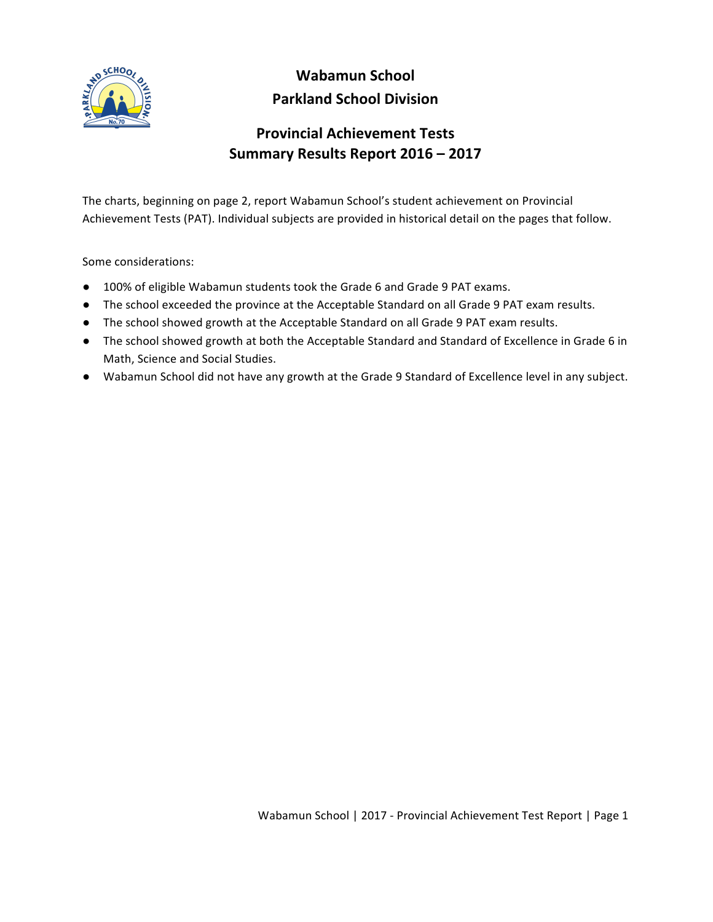

## **Wabamun School Parkland School Division**

## **Provincial Achievement Tests Summary Results Report 2016 – 2017**

The charts, beginning on page 2, report Wabamun School's student achievement on Provincial Achievement Tests (PAT). Individual subjects are provided in historical detail on the pages that follow.

Some considerations:

- 100% of eligible Wabamun students took the Grade 6 and Grade 9 PAT exams.
- The school exceeded the province at the Acceptable Standard on all Grade 9 PAT exam results.
- The school showed growth at the Acceptable Standard on all Grade 9 PAT exam results.
- The school showed growth at both the Acceptable Standard and Standard of Excellence in Grade 6 in Math, Science and Social Studies.
- Wabamun School did not have any growth at the Grade 9 Standard of Excellence level in any subject.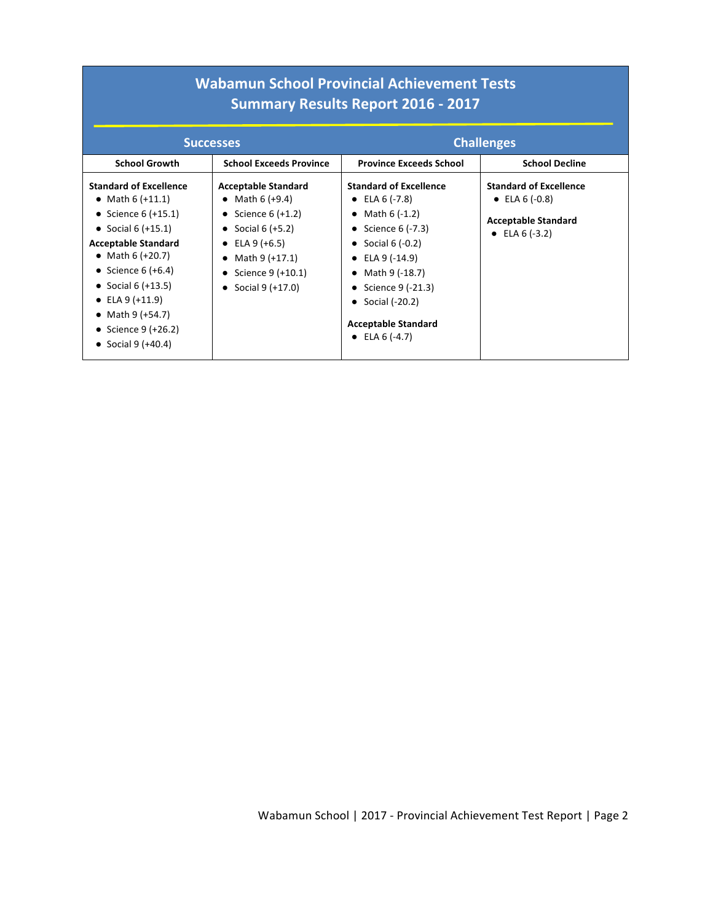|                                                                                                                                                                                                                                                                                                      | <b>Wabamun School Provincial Achievement Tests</b><br><b>Summary Results Report 2016 - 2017</b>                                                                                                      |                                                                                                                                                                                                                                                                             |                                                                                                   |  |  |  |  |  |  |  |  |  |
|------------------------------------------------------------------------------------------------------------------------------------------------------------------------------------------------------------------------------------------------------------------------------------------------------|------------------------------------------------------------------------------------------------------------------------------------------------------------------------------------------------------|-----------------------------------------------------------------------------------------------------------------------------------------------------------------------------------------------------------------------------------------------------------------------------|---------------------------------------------------------------------------------------------------|--|--|--|--|--|--|--|--|--|
|                                                                                                                                                                                                                                                                                                      | <b>Successes</b>                                                                                                                                                                                     |                                                                                                                                                                                                                                                                             | <b>Challenges</b>                                                                                 |  |  |  |  |  |  |  |  |  |
| <b>School Growth</b>                                                                                                                                                                                                                                                                                 | <b>School Exceeds Province</b>                                                                                                                                                                       | <b>Province Exceeds School</b>                                                                                                                                                                                                                                              | <b>School Decline</b>                                                                             |  |  |  |  |  |  |  |  |  |
| <b>Standard of Excellence</b><br>• Math 6 $(+11.1)$<br>• Science $6 (+15.1)$<br>• Social $6 (+15.1)$<br><b>Acceptable Standard</b><br>• Math $6 (+20.7)$<br>• Science $6 (+6.4)$<br>• Social 6 $(+13.5)$<br>• ELA $9 (+11.9)$<br>• Math $9 (+54.7)$<br>• Science $9 (+26.2)$<br>• Social $9 (+40.4)$ | <b>Acceptable Standard</b><br>• Math $6 (+9.4)$<br>• Science $6 (+1.2)$<br>• Social 6 $(+5.2)$<br>• ELA $9 (+6.5)$<br>Math 9 (+17.1)<br>٠<br>Science 9 (+10.1)<br>$\bullet$<br>Social 9 (+17.0)<br>٠ | <b>Standard of Excellence</b><br>• ELA $6$ (-7.8)<br>• Math $6(-1.2)$<br>• Science $6(-7.3)$<br>• Social $6(-0.2)$<br>$\bullet$ ELA 9 (-14.9)<br>• Math $9$ (-18.7)<br>• Science $9(-21.3)$<br>Social (-20.2)<br>$\bullet$<br><b>Acceptable Standard</b><br>• ELA $6(-4.7)$ | <b>Standard of Excellence</b><br>• ELA $6(-0.8)$<br><b>Acceptable Standard</b><br>• ELA $6(-3.2)$ |  |  |  |  |  |  |  |  |  |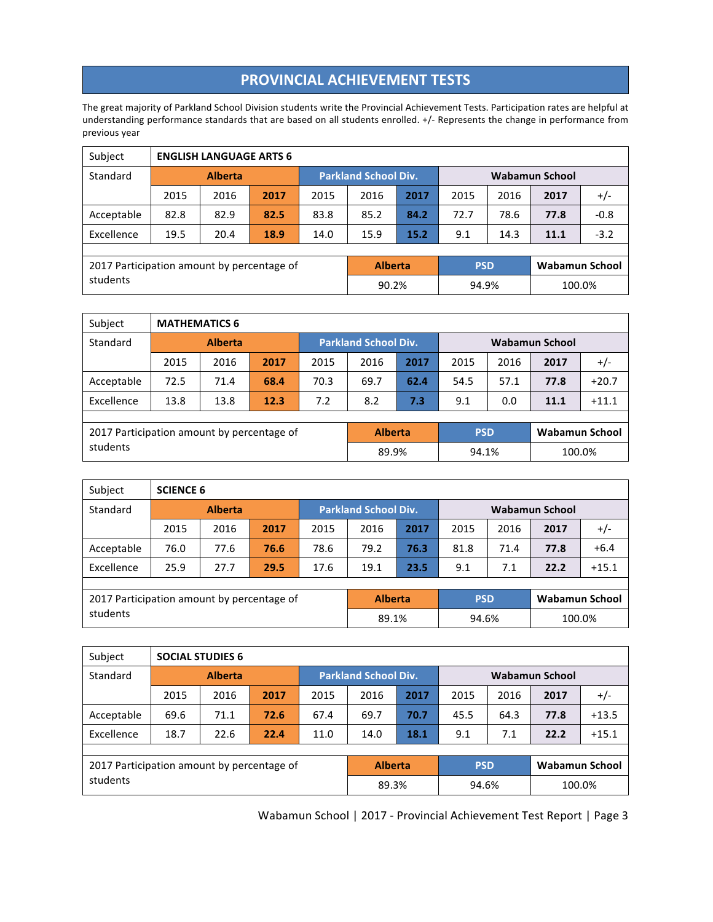## **PROVINCIAL ACHIEVEMENT TESTS**

The great majority of Parkland School Division students write the Provincial Achievement Tests. Participation rates are helpful at understanding performance standards that are based on all students enrolled. +/- Represents the change in performance from previous year

| Subject                                    |                | <b>ENGLISH LANGUAGE ARTS 6</b> |      |      |                             |      |                       |      |                       |        |  |  |
|--------------------------------------------|----------------|--------------------------------|------|------|-----------------------------|------|-----------------------|------|-----------------------|--------|--|--|
| Standard                                   | <b>Alberta</b> |                                |      |      | <b>Parkland School Div.</b> |      | <b>Wabamun School</b> |      |                       |        |  |  |
|                                            | 2015           | 2016                           | 2017 | 2015 | 2016                        | 2017 | 2015                  | 2016 | 2017                  | $+/-$  |  |  |
| Acceptable                                 | 82.8           | 82.9<br>82.5                   |      | 83.8 | 85.2                        | 84.2 | 72.7                  | 78.6 | 77.8                  | $-0.8$ |  |  |
| Excellence                                 | 19.5           | 20.4                           | 18.9 | 14.0 | 15.9                        | 15.2 | 9.1                   | 14.3 | 11.1                  | $-3.2$ |  |  |
|                                            |                |                                |      |      |                             |      |                       |      |                       |        |  |  |
| 2017 Participation amount by percentage of |                |                                |      |      | <b>Alberta</b>              |      | <b>PSD</b>            |      | <b>Wabamun School</b> |        |  |  |
| students                                   |                |                                |      |      | 90.2%                       |      | 94.9%                 |      | 100.0%                |        |  |  |

| Subject                                    | <b>MATHEMATICS 6</b> |      |      |      |                             |      |                       |      |                       |         |
|--------------------------------------------|----------------------|------|------|------|-----------------------------|------|-----------------------|------|-----------------------|---------|
| Standard                                   | <b>Alberta</b>       |      |      |      | <b>Parkland School Div.</b> |      | <b>Wabamun School</b> |      |                       |         |
|                                            | 2015                 | 2016 | 2017 | 2015 | 2016                        | 2017 | 2015                  | 2016 | 2017                  | $+/-$   |
| Acceptable                                 | 72.5                 | 71.4 | 68.4 | 70.3 | 69.7                        | 62.4 | 54.5                  | 57.1 | 77.8                  | $+20.7$ |
| Excellence                                 | 13.8                 | 13.8 | 12.3 | 7.2  | 8.2                         | 7.3  | 9.1                   | 0.0  | 11.1                  | $+11.1$ |
|                                            |                      |      |      |      |                             |      |                       |      |                       |         |
| 2017 Participation amount by percentage of |                      |      |      |      | <b>Alberta</b>              |      | <b>PSD</b>            |      | <b>Wabamun School</b> |         |
| students                                   |                      |      |      |      | 89.9%                       |      | 94.1%                 |      | 100.0%                |         |

| Subject                                    |                      | <b>SCIENCE 6</b> |      |      |                             |      |            |                |                       |        |  |  |
|--------------------------------------------|----------------------|------------------|------|------|-----------------------------|------|------------|----------------|-----------------------|--------|--|--|
| Standard                                   | <b>Alberta</b>       |                  |      |      | <b>Parkland School Div.</b> |      |            | Wabamun School |                       |        |  |  |
|                                            | 2015                 | 2016             | 2017 | 2015 | 2016                        | 2017 | 2015       | 2016           | 2017                  | $+/-$  |  |  |
| Acceptable                                 | 76.0                 | 77.6             | 76.6 | 78.6 | 79.2                        | 76.3 | 81.8       | 71.4           | 77.8                  | $+6.4$ |  |  |
| Excellence                                 | 25.9<br>27.7<br>29.5 |                  | 17.6 | 19.1 | 23.5                        | 9.1  | 7.1        | 22.2           | $+15.1$               |        |  |  |
|                                            |                      |                  |      |      |                             |      |            |                |                       |        |  |  |
| 2017 Participation amount by percentage of |                      |                  |      |      | <b>Alberta</b>              |      | <b>PSD</b> |                | <b>Wabamun School</b> |        |  |  |
| students                                   |                      |                  |      |      | 89.1%                       |      | 94.6%      |                | 100.0%                |        |  |  |

| Subject                                    |      | <b>SOCIAL STUDIES 6</b> |                             |      |                |                       |            |      |                       |         |
|--------------------------------------------|------|-------------------------|-----------------------------|------|----------------|-----------------------|------------|------|-----------------------|---------|
| Standard                                   |      |                         | <b>Parkland School Div.</b> |      |                | <b>Wabamun School</b> |            |      |                       |         |
|                                            | 2015 | 2016                    | 2017                        | 2015 | 2016           | 2017                  | 2015       | 2016 | 2017                  | $+/-$   |
| Acceptable                                 | 69.6 | 71.1                    | 72.6                        | 67.4 | 69.7           | 70.7                  | 45.5       | 64.3 | 77.8                  | $+13.5$ |
| Excellence                                 | 18.7 | 22.6                    | 22.4                        | 11.0 | 14.0           | 18.1                  | 9.1        | 7.1  | 22.2                  | $+15.1$ |
|                                            |      |                         |                             |      |                |                       |            |      |                       |         |
| 2017 Participation amount by percentage of |      |                         |                             |      | <b>Alberta</b> |                       | <b>PSD</b> |      | <b>Wabamun School</b> |         |
| students                                   |      |                         |                             |      | 89.3%          |                       | 94.6%      |      | 100.0%                |         |

Wabamun School | 2017 - Provincial Achievement Test Report | Page 3